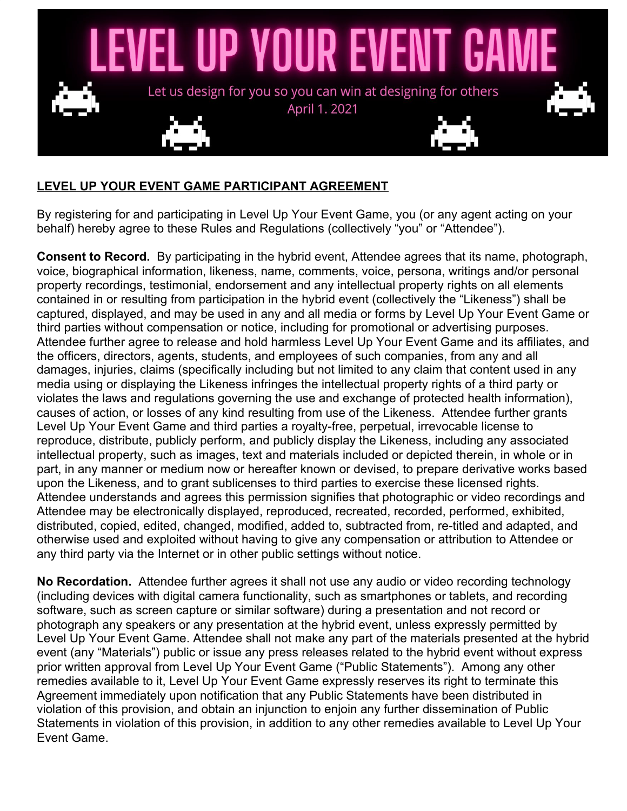

## **LEVEL UP YOUR EVENT GAME PARTICIPANT AGREEMENT**

By registering for and participating in Level Up Your Event Game, you (or any agent acting on your behalf) hereby agree to these Rules and Regulations (collectively "you" or "Attendee").

**Consent to Record.** By participating in the hybrid event, Attendee agrees that its name, photograph, voice, biographical information, likeness, name, comments, voice, persona, writings and/or personal property recordings, testimonial, endorsement and any intellectual property rights on all elements contained in or resulting from participation in the hybrid event (collectively the "Likeness") shall be captured, displayed, and may be used in any and all media or forms by Level Up Your Event Game or third parties without compensation or notice, including for promotional or advertising purposes. Attendee further agree to release and hold harmless Level Up Your Event Game and its affiliates, and the officers, directors, agents, students, and employees of such companies, from any and all damages, injuries, claims (specifically including but not limited to any claim that content used in any media using or displaying the Likeness infringes the intellectual property rights of a third party or violates the laws and regulations governing the use and exchange of protected health information), causes of action, or losses of any kind resulting from use of the Likeness. Attendee further grants Level Up Your Event Game and third parties a royalty-free, perpetual, irrevocable license to reproduce, distribute, publicly perform, and publicly display the Likeness, including any associated intellectual property, such as images, text and materials included or depicted therein, in whole or in part, in any manner or medium now or hereafter known or devised, to prepare derivative works based upon the Likeness, and to grant sublicenses to third parties to exercise these licensed rights. Attendee understands and agrees this permission signifies that photographic or video recordings and Attendee may be electronically displayed, reproduced, recreated, recorded, performed, exhibited, distributed, copied, edited, changed, modified, added to, subtracted from, re-titled and adapted, and otherwise used and exploited without having to give any compensation or attribution to Attendee or any third party via the Internet or in other public settings without notice.

**No Recordation.** Attendee further agrees it shall not use any audio or video recording technology (including devices with digital camera functionality, such as smartphones or tablets, and recording software, such as screen capture or similar software) during a presentation and not record or photograph any speakers or any presentation at the hybrid event, unless expressly permitted by Level Up Your Event Game. Attendee shall not make any part of the materials presented at the hybrid event (any "Materials") public or issue any press releases related to the hybrid event without express prior written approval from Level Up Your Event Game ("Public Statements"). Among any other remedies available to it, Level Up Your Event Game expressly reserves its right to terminate this Agreement immediately upon notification that any Public Statements have been distributed in violation of this provision, and obtain an injunction to enjoin any further dissemination of Public Statements in violation of this provision, in addition to any other remedies available to Level Up Your Event Game.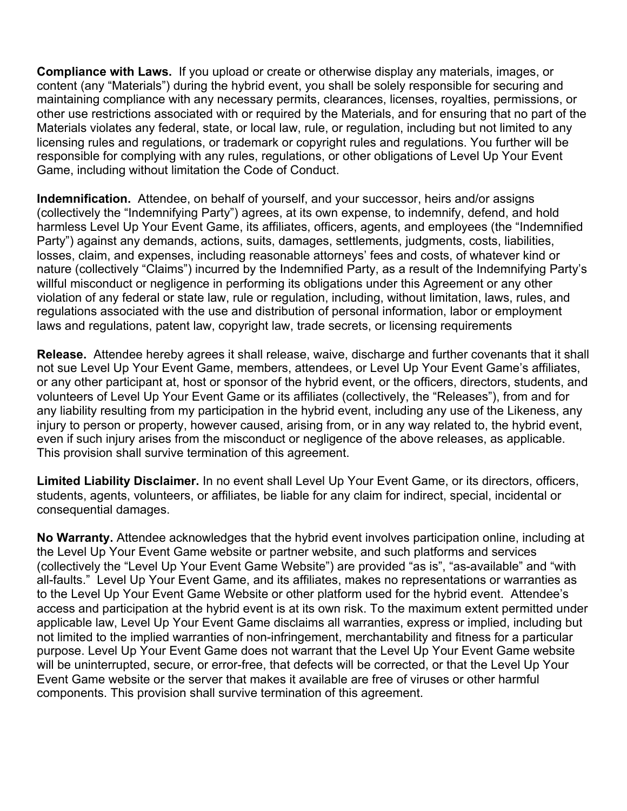**Compliance with Laws.** If you upload or create or otherwise display any materials, images, or content (any "Materials") during the hybrid event, you shall be solely responsible for securing and maintaining compliance with any necessary permits, clearances, licenses, royalties, permissions, or other use restrictions associated with or required by the Materials, and for ensuring that no part of the Materials violates any federal, state, or local law, rule, or regulation, including but not limited to any licensing rules and regulations, or trademark or copyright rules and regulations. You further will be responsible for complying with any rules, regulations, or other obligations of Level Up Your Event Game, including without limitation the Code of Conduct.

**Indemnification.** Attendee, on behalf of yourself, and your successor, heirs and/or assigns (collectively the "Indemnifying Party") agrees, at its own expense, to indemnify, defend, and hold harmless Level Up Your Event Game, its affiliates, officers, agents, and employees (the "Indemnified Party") against any demands, actions, suits, damages, settlements, judgments, costs, liabilities, losses, claim, and expenses, including reasonable attorneys' fees and costs, of whatever kind or nature (collectively "Claims") incurred by the Indemnified Party, as a result of the Indemnifying Party's willful misconduct or negligence in performing its obligations under this Agreement or any other violation of any federal or state law, rule or regulation, including, without limitation, laws, rules, and regulations associated with the use and distribution of personal information, labor or employment laws and regulations, patent law, copyright law, trade secrets, or licensing requirements

**Release.** Attendee hereby agrees it shall release, waive, discharge and further covenants that it shall not sue Level Up Your Event Game, members, attendees, or Level Up Your Event Game's affiliates, or any other participant at, host or sponsor of the hybrid event, or the officers, directors, students, and volunteers of Level Up Your Event Game or its affiliates (collectively, the "Releases"), from and for any liability resulting from my participation in the hybrid event, including any use of the Likeness, any injury to person or property, however caused, arising from, or in any way related to, the hybrid event, even if such injury arises from the misconduct or negligence of the above releases, as applicable. This provision shall survive termination of this agreement.

**Limited Liability Disclaimer.** In no event shall Level Up Your Event Game, or its directors, officers, students, agents, volunteers, or affiliates, be liable for any claim for indirect, special, incidental or consequential damages.

**No Warranty.** Attendee acknowledges that the hybrid event involves participation online, including at the Level Up Your Event Game website or partner website, and such platforms and services (collectively the "Level Up Your Event Game Website") are provided "as is", "as-available" and "with all-faults." Level Up Your Event Game, and its affiliates, makes no representations or warranties as to the Level Up Your Event Game Website or other platform used for the hybrid event. Attendee's access and participation at the hybrid event is at its own risk. To the maximum extent permitted under applicable law, Level Up Your Event Game disclaims all warranties, express or implied, including but not limited to the implied warranties of non-infringement, merchantability and fitness for a particular purpose. Level Up Your Event Game does not warrant that the Level Up Your Event Game website will be uninterrupted, secure, or error-free, that defects will be corrected, or that the Level Up Your Event Game website or the server that makes it available are free of viruses or other harmful components. This provision shall survive termination of this agreement.